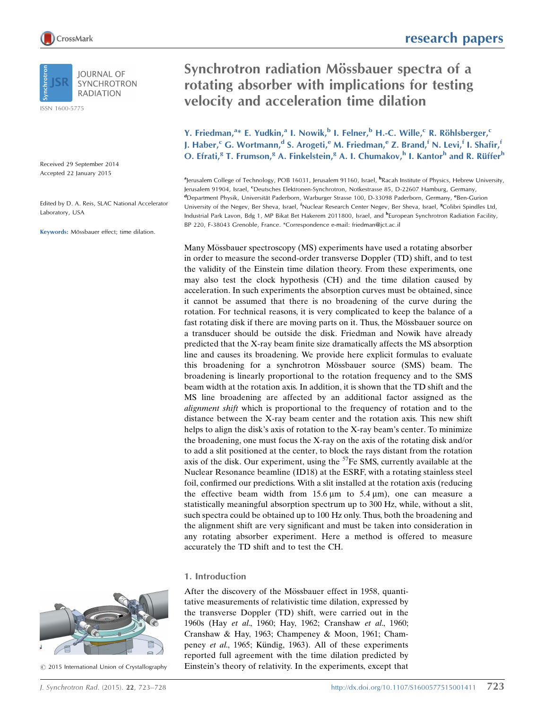**IOURNAL OF SYNCHROTRON RADIATION** 

ISSN 1600-5775

Received 29 September 2014 Accepted 22 January 2015

Edited by D. A. Reis, SLAC National Accelerator Laboratory, USA

Keywords: Mössbauer effect; time dilation.

# Synchrotron radiation Mössbauer spectra of a rotating absorber with implications for testing velocity and acceleration time dilation

Y. Friedman,<sup>a</sup>\* E. Yudkin,<sup>a</sup> I. Nowik,<sup>b</sup> I. Felner,<sup>b</sup> H.-C. Wille,<sup>c</sup> R. Röhlsberger,<sup>c</sup> J. Haber,<sup>c</sup> G. Wortmann,<sup>d</sup> S. Arogeti,<sup>e</sup> M. Friedman,<sup>e</sup> Z. Brand,<sup>f</sup> N. Levi,<sup>f</sup> I. Shafir,<sup>f</sup> O. Efrati,<sup>g</sup> T. Frumson,<sup>g</sup> A. Finkelstein,<sup>g</sup> A. I. Chumakov,<sup>h</sup> I. Kantor<sup>h</sup> and R. Rüffer<sup>h</sup>

alerusalem College of Technology, POB 16031, Jerusalem 91160, Israel, <sup>b</sup>Racah Institute of Physics, Hebrew University, Jerusalem 91904, Israel, <sup>c</sup>Deutsches Elektronen-Synchrotron, Notkestrasse 85, D-22607 Hamburg, Germany, <sup>d</sup>Department Physik, Universität Paderborn, Warburger Strasse 100, D-33098 Paderborn, Germany, <sup>e</sup>Ben-Gurion University of the Negev, Ber Sheva, Israel, <sup>f</sup>Nuclear Research Center Negev, Ber Sheva, Israel, <sup>g</sup>Colibri Spindles Ltd, Industrial Park Lavon, Bdg 1, MP Bikat Bet Hakerem 2011800, Israel, and **hEuropean Synchrotron Radiation Facility**, BP 220, F-38043 Grenoble, France. \*Correspondence e-mail: friedman@jct.ac.il

Many Mössbauer spectroscopy (MS) experiments have used a rotating absorber in order to measure the second-order transverse Doppler (TD) shift, and to test the validity of the Einstein time dilation theory. From these experiments, one may also test the clock hypothesis (CH) and the time dilation caused by acceleration. In such experiments the absorption curves must be obtained, since it cannot be assumed that there is no broadening of the curve during the rotation. For technical reasons, it is very complicated to keep the balance of a fast rotating disk if there are moving parts on it. Thus, the Mössbauer source on a transducer should be outside the disk. Friedman and Nowik have already predicted that the X-ray beam finite size dramatically affects the MS absorption line and causes its broadening. We provide here explicit formulas to evaluate this broadening for a synchrotron Mössbauer source (SMS) beam. The broadening is linearly proportional to the rotation frequency and to the SMS beam width at the rotation axis. In addition, it is shown that the TD shift and the MS line broadening are affected by an additional factor assigned as the alignment shift which is proportional to the frequency of rotation and to the distance between the X-ray beam center and the rotation axis. This new shift helps to align the disk's axis of rotation to the X-ray beam's center. To minimize the broadening, one must focus the X-ray on the axis of the rotating disk and/or to add a slit positioned at the center, to block the rays distant from the rotation axis of the disk. Our experiment, using the  $<sup>57</sup>Fe SMS$ , currently available at the</sup> Nuclear Resonance beamline (ID18) at the ESRF, with a rotating stainless steel foil, confirmed our predictions. With a slit installed at the rotation axis (reducing the effective beam width from 15.6  $\mu$ m to 5.4  $\mu$ m), one can measure a statistically meaningful absorption spectrum up to 300 Hz, while, without a slit, such spectra could be obtained up to 100 Hz only. Thus, both the broadening and the alignment shift are very significant and must be taken into consideration in any rotating absorber experiment. Here a method is offered to measure accurately the TD shift and to test the CH.

## 1. Introduction

After the discovery of the Mössbauer effect in 1958, quantitative measurements of relativistic time dilation, expressed by the transverse Doppler (TD) shift, were carried out in the 1960s (Hay et al., 1960; Hay, 1962; Cranshaw et al., 1960; Cranshaw & Hay, 1963; Champeney & Moon, 1961; Champeney et al., 1965; Kündig, 1963). All of these experiments reported full agreement with the time dilation predicted by Einstein's theory of relativity. In the experiments, except that



 $\odot$  2015 International Union of Crystallography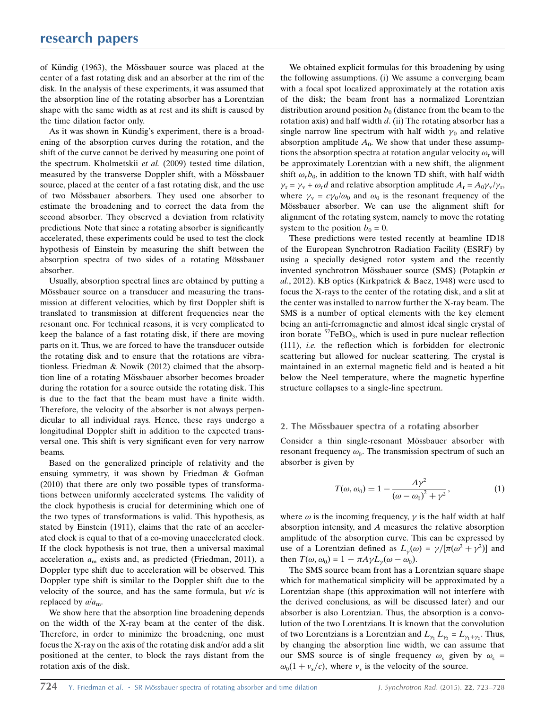of Kündig (1963), the Mössbauer source was placed at the center of a fast rotating disk and an absorber at the rim of the disk. In the analysis of these experiments, it was assumed that the absorption line of the rotating absorber has a Lorentzian shape with the same width as at rest and its shift is caused by the time dilation factor only.

As it was shown in Kündig's experiment, there is a broadening of the absorption curves during the rotation, and the shift of the curve cannot be derived by measuring one point of the spectrum. Kholmetskii et al. (2009) tested time dilation, measured by the transverse Doppler shift, with a Mössbauer source, placed at the center of a fast rotating disk, and the use of two Mössbauer absorbers. They used one absorber to estimate the broadening and to correct the data from the second absorber. They observed a deviation from relativity predictions. Note that since a rotating absorber is significantly accelerated, these experiments could be used to test the clock hypothesis of Einstein by measuring the shift between the absorption spectra of two sides of a rotating Mössbauer absorber.

Usually, absorption spectral lines are obtained by putting a Mössbauer source on a transducer and measuring the transmission at different velocities, which by first Doppler shift is translated to transmission at different frequencies near the resonant one. For technical reasons, it is very complicated to keep the balance of a fast rotating disk, if there are moving parts on it. Thus, we are forced to have the transducer outside the rotating disk and to ensure that the rotations are vibrationless. Friedman & Nowik (2012) claimed that the absorption line of a rotating Mössbauer absorber becomes broader during the rotation for a source outside the rotating disk. This is due to the fact that the beam must have a finite width. Therefore, the velocity of the absorber is not always perpendicular to all individual rays. Hence, these rays undergo a longitudinal Doppler shift in addition to the expected transversal one. This shift is very significant even for very narrow beams.

Based on the generalized principle of relativity and the ensuing symmetry, it was shown by Friedman & Gofman (2010) that there are only two possible types of transformations between uniformly accelerated systems. The validity of the clock hypothesis is crucial for determining which one of the two types of transformations is valid. This hypothesis, as stated by Einstein (1911), claims that the rate of an accelerated clock is equal to that of a co-moving unaccelerated clock. If the clock hypothesis is not true, then a universal maximal acceleration  $a_m$  exists and, as predicted (Friedman, 2011), a Doppler type shift due to acceleration will be observed. This Doppler type shift is similar to the Doppler shift due to the velocity of the source, and has the same formula, but  $v/c$  is replaced by  $a/a_m$ .

We show here that the absorption line broadening depends on the width of the X-ray beam at the center of the disk. Therefore, in order to minimize the broadening, one must focus the X-ray on the axis of the rotating disk and/or add a slit positioned at the center, to block the rays distant from the rotation axis of the disk.

We obtained explicit formulas for this broadening by using the following assumptions. (i) We assume a converging beam with a focal spot localized approximately at the rotation axis of the disk; the beam front has a normalized Lorentzian distribution around position  $b_0$  (distance from the beam to the rotation axis) and half width  $d$ . (ii) The rotating absorber has a single narrow line spectrum with half width  $\gamma_0$  and relative absorption amplitude  $A_0$ . We show that under these assumptions the absorption spectra at rotation angular velocity  $\omega_r$  will be approximately Lorentzian with a new shift, the alignment shift  $\omega_r b_0$ , in addition to the known TD shift, with half width  $\gamma_r = \gamma_v + \omega_r d$  and relative absorption amplitude  $A_r = A_0 \gamma_v / \gamma_r$ , where  $\gamma_v = c\gamma_0/\omega_0$  and  $\omega_0$  is the resonant frequency of the Mössbauer absorber. We can use the alignment shift for alignment of the rotating system, namely to move the rotating system to the position  $b_0 = 0$ .

These predictions were tested recently at beamline ID18 of the European Synchrotron Radiation Facility (ESRF) by using a specially designed rotor system and the recently invented synchrotron Mössbauer source (SMS) (Potapkin et al., 2012). KB optics (Kirkpatrick & Baez, 1948) were used to focus the X-rays to the center of the rotating disk, and a slit at the center was installed to narrow further the X-ray beam. The SMS is a number of optical elements with the key element being an anti-ferromagnetic and almost ideal single crystal of iron borate  ${}^{57}$ FeBO<sub>3</sub>, which is used in pure nuclear reflection (111), i.e. the reflection which is forbidden for electronic scattering but allowed for nuclear scattering. The crystal is maintained in an external magnetic field and is heated a bit below the Neel temperature, where the magnetic hyperfine structure collapses to a single-line spectrum.

## 2. The Mössbauer spectra of a rotating absorber

Consider a thin single-resonant Mössbauer absorber with resonant frequency  $\omega_0$ . The transmission spectrum of such an absorber is given by

$$
T(\omega, \omega_0) = 1 - \frac{A\gamma^2}{(\omega - \omega_0)^2 + \gamma^2},
$$
 (1)

where  $\omega$  is the incoming frequency,  $\gamma$  is the half width at half absorption intensity, and A measures the relative absorption amplitude of the absorption curve. This can be expressed by use of a Lorentzian defined as  $L_{\gamma}(\omega) = \gamma/[\pi(\omega^2 + \gamma^2)]$  and then  $T(\omega, \omega_0) = 1 - \pi A \gamma L_{\gamma}(\omega - \omega_0)$ .

The SMS source beam front has a Lorentzian square shape which for mathematical simplicity will be approximated by a Lorentzian shape (this approximation will not interfere with the derived conclusions, as will be discussed later) and our absorber is also Lorentzian. Thus, the absorption is a convolution of the two Lorentzians. It is known that the convolution of two Lorentzians is a Lorentzian and  $L_{\gamma_1} L_{\gamma_2} = L_{\gamma_1 + \gamma_2}$ . Thus, by changing the absorption line width, we can assume that our SMS source is of single frequency  $\omega_s$  given by  $\omega_s$  =  $\omega_0(1 + v_s/c)$ , where  $v_s$  is the velocity of the source.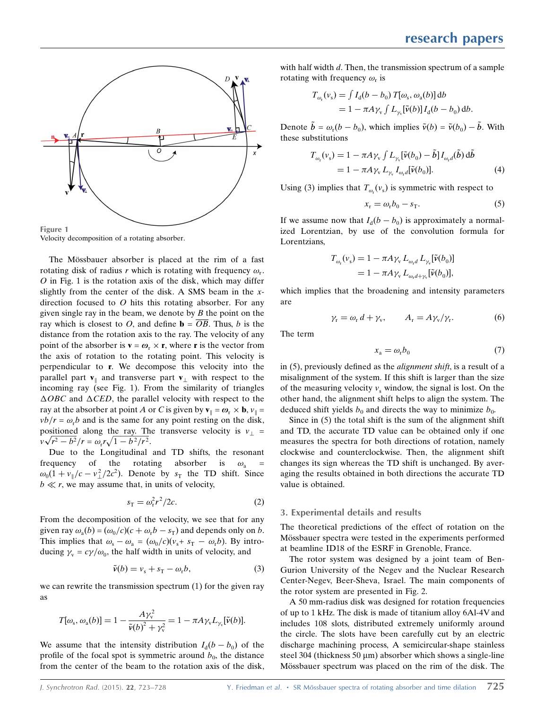

Velocity decomposition of a rotating absorber.

The Mössbauer absorber is placed at the rim of a fast rotating disk of radius r which is rotating with frequency  $\omega_r$ .  $O$  in Fig. 1 is the rotation axis of the disk, which may differ slightly from the center of the disk. A SMS beam in the xdirection focused to  $O$  hits this rotating absorber. For any given single ray in the beam, we denote by  $B$  the point on the ray which is closest to O, and define  $\mathbf{b} = \overline{OB}$ . Thus, b is the distance from the rotation axis to the ray. The velocity of any point of the absorber is  $\mathbf{v} = \boldsymbol{\omega}_r \times \mathbf{r}$ , where **r** is the vector from the axis of rotation to the rotating point. This velocity is perpendicular to r. We decompose this velocity into the parallel part  $\mathbf{v}_{\parallel}$  and transverse part  $\mathbf{v}_{\perp}$  with respect to the incoming ray (see Fig. 1). From the similarity of triangles  $\triangle OBC$  and  $\triangle CED$ , the parallel velocity with respect to the ray at the absorber at point A or C is given by  $\mathbf{v}_{\parallel} = \boldsymbol{\omega}_{r} \times \mathbf{b}$ ,  $v_{\parallel} =$  $v b/r = \omega_r b$  and is the same for any point resting on the disk, positioned along the ray. The transverse velocity is  $v_{\perp}$  = positioned along the ray. In<br> $v\sqrt{r^2 - b^2}/r = \omega_r r \sqrt{1 - b^2/r^2}$ .

Due to the Longitudinal and TD shifts, the resonant frequency of the rotating absorber is  $\omega_a$  $\omega_0(1 + v_{\parallel}/c - v_{\perp}^2/2c^2)$ . Denote by  $s_T$  the TD shift. Since  $b \ll r$ , we may assume that, in units of velocity,

$$
s_{\rm T} = \omega_{\rm r}^2 r^2 / 2c. \tag{2}
$$

From the decomposition of the velocity, we see that for any given ray  $\omega_a(b) = (\omega_0/c)(c + \omega_r b - s_T)$  and depends only on b. This implies that  $\omega_s - \omega_a = (\omega_0/c)(v_s + s_T - \omega_r b)$ . By introducing  $\gamma_v = c\gamma/\omega_0$ , the half width in units of velocity, and

$$
\tilde{\nu}(b) = \nu_{\rm s} + s_{\rm T} - \omega_{\rm r} b,\tag{3}
$$

we can rewrite the transmission spectrum (1) for the given ray as

$$
T[\omega_{\rm s},\omega_{\rm a}(b)]=1-\frac{A\gamma_{\rm v}^2}{\tilde{\nu}(b)^2+\gamma_{\rm v}^2}=1-\pi A\gamma_{\rm v}L_{\gamma_{\rm v}}[\tilde{\nu}(b)].
$$

We assume that the intensity distribution  $I_d(b - b_0)$  of the profile of the focal spot is symmetric around  $b_0$ , the distance from the center of the beam to the rotation axis of the disk, with half width  $d$ . Then, the transmission spectrum of a sample rotating with frequency  $\omega_r$  is

$$
T_{\omega_{\rm r}}(\nu_{\rm s}) = \int I_{\rm d}(b - b_0) T[\omega_{\rm s}, \omega_{\rm a}(b)] \, {\rm d}b
$$
  
= 1 - \pi A \gamma\_{\rm v} \int L\_{\gamma\_{\rm v}}[\tilde{\nu}(b)] I\_{\rm d}(b - b\_0) \, {\rm d}b.

Denote  $\tilde{b} = \omega_r(b - b_0)$ , which implies  $\tilde{v}(b) = \tilde{v}(b_0) - \tilde{b}$ . With these substitutions

$$
T_{\omega_{\rm r}}(\nu_{\rm s}) = 1 - \pi A \gamma_{\rm v} \int L_{\gamma_{\rm v}} [\tilde{\mathbf{\nu}}(b_0) - \tilde{b}] I_{\omega_{\rm r} d}(\tilde{b}) d\tilde{b}
$$
  
= 1 - \pi A \gamma\_{\rm v} L\_{\gamma\_{\rm v}} I\_{\omega\_{\rm r} d} [\tilde{\mathbf{\nu}}(b\_0)]. \tag{4}

Using (3) implies that  $T_{\omega_r}(v_s)$  is symmetric with respect to

$$
x_{\rm r} = \omega_{\rm r} b_0 - s_{\rm T}.\tag{5}
$$

If we assume now that  $I_d(b - b_0)$  is approximately a normalized Lorentzian, by use of the convolution formula for Lorentzians,

$$
T_{\omega_{\rm r}}(\nu_{\rm s}) = 1 - \pi A \gamma_{\rm v} L_{\omega_{\rm r} d} L_{\gamma_{\rm v}}[\tilde{\nu}(b_0)]
$$
  
= 1 - \pi A \gamma\_{\rm v} L\_{\omega\_{\rm r} d + \gamma\_{\rm v}}[\tilde{\nu}(b\_0)],

which implies that the broadening and intensity parameters are

$$
\gamma_{\rm r} = \omega_{\rm r} d + \gamma_{\rm v}, \qquad A_{\rm r} = A \gamma_{\rm v} / \gamma_{\rm r}.
$$
 (6)

The term

$$
x_{\rm a} = \omega_{\rm r} b_0 \tag{7}
$$

in (5), previously defined as the alignment shift, is a result of a misalignment of the system. If this shift is larger than the size of the measuring velocity  $v_s$  window, the signal is lost. On the other hand, the alignment shift helps to align the system. The deduced shift yields  $b_0$  and directs the way to minimize  $b_0$ .

Since in (5) the total shift is the sum of the alignment shift and TD, the accurate TD value can be obtained only if one measures the spectra for both directions of rotation, namely clockwise and counterclockwise. Then, the alignment shift changes its sign whereas the TD shift is unchanged. By averaging the results obtained in both directions the accurate TD value is obtained.

## 3. Experimental details and results

The theoretical predictions of the effect of rotation on the Mössbauer spectra were tested in the experiments performed at beamline ID18 of the ESRF in Grenoble, France.

The rotor system was designed by a joint team of Ben-Gurion University of the Negev and the Nuclear Research Center-Negev, Beer-Sheva, Israel. The main components of the rotor system are presented in Fig. 2.

A 50 mm-radius disk was designed for rotation frequencies of up to 1 kHz. The disk is made of titanium alloy 6Al-4V and includes 108 slots, distributed extremely uniformly around the circle. The slots have been carefully cut by an electric discharge machining process, A semicircular-shape stainless steel 304 (thickness 50  $\mu$ m) absorber which shows a single-line Mössbauer spectrum was placed on the rim of the disk. The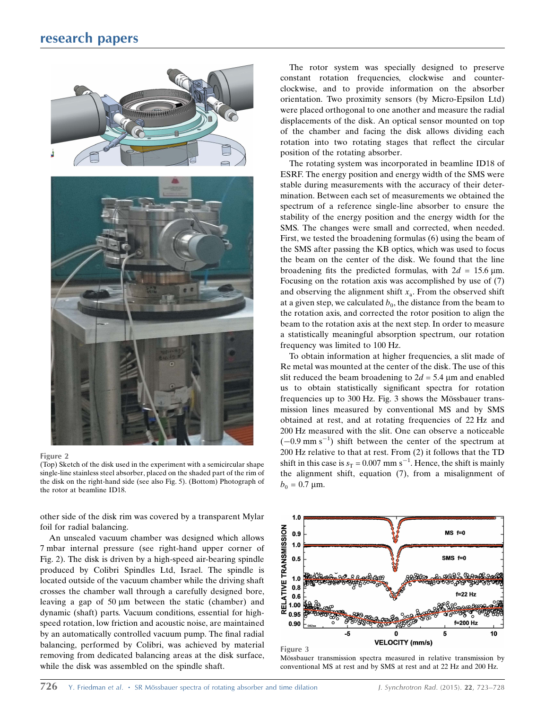## research papers



#### Figure 2

(Top) Sketch of the disk used in the experiment with a semicircular shape single-line stainless steel absorber, placed on the shaded part of the rim of the disk on the right-hand side (see also Fig. 5). (Bottom) Photograph of the rotor at beamline ID18.

other side of the disk rim was covered by a transparent Mylar foil for radial balancing.

An unsealed vacuum chamber was designed which allows 7 mbar internal pressure (see right-hand upper corner of Fig. 2). The disk is driven by a high-speed air-bearing spindle produced by Colibri Spindles Ltd, Israel. The spindle is located outside of the vacuum chamber while the driving shaft crosses the chamber wall through a carefully designed bore, leaving a gap of  $50 \mu m$  between the static (chamber) and dynamic (shaft) parts. Vacuum conditions, essential for highspeed rotation, low friction and acoustic noise, are maintained by an automatically controlled vacuum pump. The final radial balancing, performed by Colibri, was achieved by material removing from dedicated balancing areas at the disk surface, while the disk was assembled on the spindle shaft.

The rotor system was specially designed to preserve constant rotation frequencies, clockwise and counterclockwise, and to provide information on the absorber orientation. Two proximity sensors (by Micro-Epsilon Ltd) were placed orthogonal to one another and measure the radial displacements of the disk. An optical sensor mounted on top of the chamber and facing the disk allows dividing each rotation into two rotating stages that reflect the circular position of the rotating absorber.

The rotating system was incorporated in beamline ID18 of ESRF. The energy position and energy width of the SMS were stable during measurements with the accuracy of their determination. Between each set of measurements we obtained the spectrum of a reference single-line absorber to ensure the stability of the energy position and the energy width for the SMS. The changes were small and corrected, when needed. First, we tested the broadening formulas (6) using the beam of the SMS after passing the KB optics, which was used to focus the beam on the center of the disk. We found that the line broadening fits the predicted formulas, with  $2d = 15.6 \,\text{\mu m}$ . Focusing on the rotation axis was accomplished by use of (7) and observing the alignment shift  $x_a$ . From the observed shift at a given step, we calculated  $b_0$ , the distance from the beam to the rotation axis, and corrected the rotor position to align the beam to the rotation axis at the next step. In order to measure a statistically meaningful absorption spectrum, our rotation frequency was limited to 100 Hz.

To obtain information at higher frequencies, a slit made of Re metal was mounted at the center of the disk. The use of this slit reduced the beam broadening to  $2d = 5.4$  µm and enabled us to obtain statistically significant spectra for rotation frequencies up to 300 Hz. Fig. 3 shows the Mössbauer transmission lines measured by conventional MS and by SMS obtained at rest, and at rotating frequencies of 22 Hz and 200 Hz measured with the slit. One can observe a noticeable  $(-0.9 \text{ mm s}^{-1})$  shift between the center of the spectrum at 200 Hz relative to that at rest. From (2) it follows that the TD shift in this case is  $s_T = 0.007$  mm s<sup>-1</sup>. Hence, the shift is mainly the alignment shift, equation (7), from a misalignment of  $b_0 = 0.7 \,\text{\mu m}.$ 



Mössbauer transmission spectra measured in relative transmission by conventional MS at rest and by SMS at rest and at 22 Hz and 200 Hz.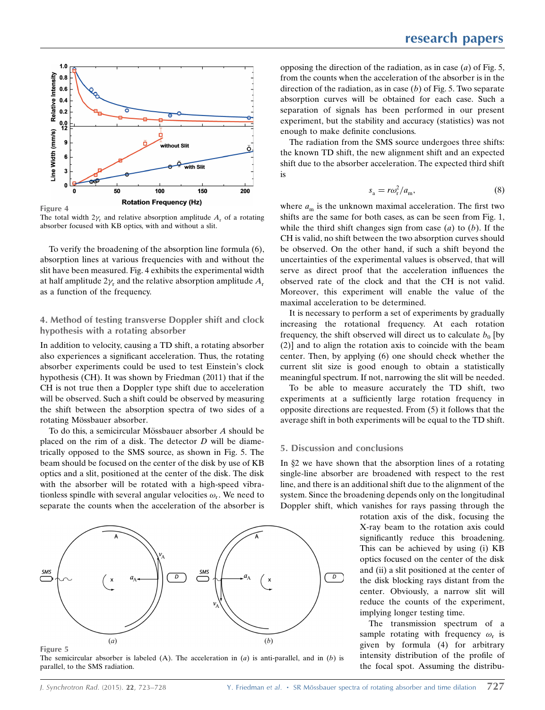

The total width  $2\gamma_r$  and relative absorption amplitude  $A_r$  of a rotating absorber focused with KB optics, with and without a slit.

To verify the broadening of the absorption line formula (6), absorption lines at various frequencies with and without the slit have been measured. Fig. 4 exhibits the experimental width at half amplitude  $2\gamma_r$  and the relative absorption amplitude  $A_r$ as a function of the frequency.

## 4. Method of testing transverse Doppler shift and clock hypothesis with a rotating absorber

In addition to velocity, causing a TD shift, a rotating absorber also experiences a significant acceleration. Thus, the rotating absorber experiments could be used to test Einstein's clock hypothesis (CH). It was shown by Friedman (2011) that if the CH is not true then a Doppler type shift due to acceleration will be observed. Such a shift could be observed by measuring the shift between the absorption spectra of two sides of a rotating Mössbauer absorber.

To do this, a semicircular Mössbauer absorber  $A$  should be placed on the rim of a disk. The detector  $D$  will be diametrically opposed to the SMS source, as shown in Fig. 5. The beam should be focused on the center of the disk by use of KB optics and a slit, positioned at the center of the disk. The disk with the absorber will be rotated with a high-speed vibrationless spindle with several angular velocities  $\omega_r$ . We need to separate the counts when the acceleration of the absorber is



Figure 5

The semicircular absorber is labeled  $(A)$ . The acceleration in  $(a)$  is anti-parallel, and in  $(b)$  is parallel, to the SMS radiation.

opposing the direction of the radiation, as in case  $(a)$  of Fig. 5, from the counts when the acceleration of the absorber is in the direction of the radiation, as in case  $(b)$  of Fig. 5. Two separate absorption curves will be obtained for each case. Such a separation of signals has been performed in our present experiment, but the stability and accuracy (statistics) was not enough to make definite conclusions.

The radiation from the SMS source undergoes three shifts: the known TD shift, the new alignment shift and an expected shift due to the absorber acceleration. The expected third shift is

$$
s_{\rm a} = r\omega_{\rm r}^2/a_{\rm m},\tag{8}
$$

where  $a_m$  is the unknown maximal acceleration. The first two shifts are the same for both cases, as can be seen from Fig. 1, while the third shift changes sign from case  $(a)$  to  $(b)$ . If the CH is valid, no shift between the two absorption curves should be observed. On the other hand, if such a shift beyond the uncertainties of the experimental values is observed, that will serve as direct proof that the acceleration influences the observed rate of the clock and that the CH is not valid. Moreover, this experiment will enable the value of the maximal acceleration to be determined.

It is necessary to perform a set of experiments by gradually increasing the rotational frequency. At each rotation frequency, the shift observed will direct us to calculate  $b_0$  [by (2)] and to align the rotation axis to coincide with the beam center. Then, by applying (6) one should check whether the current slit size is good enough to obtain a statistically meaningful spectrum. If not, narrowing the slit will be needed.

To be able to measure accurately the TD shift, two experiments at a sufficiently large rotation frequency in opposite directions are requested. From (5) it follows that the average shift in both experiments will be equal to the TD shift.

## 5. Discussion and conclusions

In  $\S2$  we have shown that the absorption lines of a rotating single-line absorber are broadened with respect to the rest line, and there is an additional shift due to the alignment of the system. Since the broadening depends only on the longitudinal Doppler shift, which vanishes for rays passing through the

> rotation axis of the disk, focusing the X-ray beam to the rotation axis could significantly reduce this broadening. This can be achieved by using (i) KB optics focused on the center of the disk and (ii) a slit positioned at the center of the disk blocking rays distant from the center. Obviously, a narrow slit will reduce the counts of the experiment, implying longer testing time.

> The transmission spectrum of a sample rotating with frequency  $\omega_r$  is given by formula (4) for arbitrary intensity distribution of the profile of the focal spot. Assuming the distribu